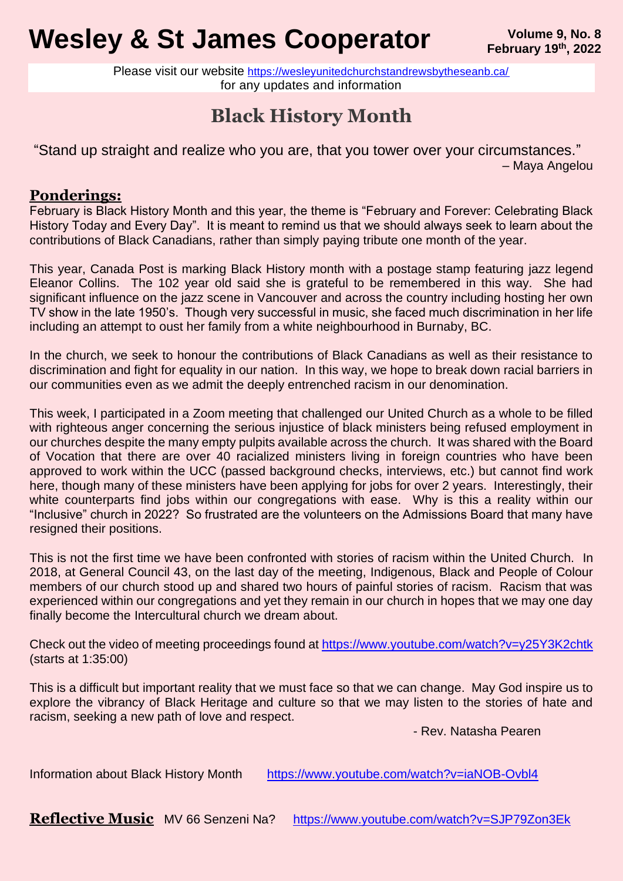# **Wesley & St James Cooperator** *Volume 9, No. 8* Volume 9, No. 8

Please visit our website <https://wesleyunitedchurchstandrewsbytheseanb.ca/> for any updates and information

## **Black History Month**

"Stand up straight and realize who you are, that you tower over your circumstances." – Maya Angelou

#### **Ponderings:**

February is Black History Month and this year, the theme is "February and Forever: Celebrating Black History Today and Every Day". It is meant to remind us that we should always seek to learn about the contributions of Black Canadians, rather than simply paying tribute one month of the year.

This year, Canada Post is marking Black History month with a postage stamp featuring jazz legend Eleanor Collins. The 102 year old said she is grateful to be remembered in this way. She had significant influence on the jazz scene in Vancouver and across the country including hosting her own TV show in the late 1950's. Though very successful in music, she faced much discrimination in her life including an attempt to oust her family from a white neighbourhood in Burnaby, BC.

In the church, we seek to honour the contributions of Black Canadians as well as their resistance to discrimination and fight for equality in our nation. In this way, we hope to break down racial barriers in our communities even as we admit the deeply entrenched racism in our denomination.

This week, I participated in a Zoom meeting that challenged our United Church as a whole to be filled with righteous anger concerning the serious injustice of black ministers being refused employment in our churches despite the many empty pulpits available across the church. It was shared with the Board of Vocation that there are over 40 racialized ministers living in foreign countries who have been approved to work within the UCC (passed background checks, interviews, etc.) but cannot find work here, though many of these ministers have been applying for jobs for over 2 years. Interestingly, their white counterparts find jobs within our congregations with ease. Why is this a reality within our "Inclusive" church in 2022? So frustrated are the volunteers on the Admissions Board that many have resigned their positions.

This is not the first time we have been confronted with stories of racism within the United Church. In 2018, at General Council 43, on the last day of the meeting, Indigenous, Black and People of Colour members of our church stood up and shared two hours of painful stories of racism. Racism that was experienced within our congregations and yet they remain in our church in hopes that we may one day finally become the Intercultural church we dream about.

Check out the video of meeting proceedings found at<https://www.youtube.com/watch?v=y25Y3K2chtk> (starts at 1:35:00)

This is a difficult but important reality that we must face so that we can change. May God inspire us to explore the vibrancy of Black Heritage and culture so that we may listen to the stories of hate and racism, seeking a new path of love and respect.

- Rev. Natasha Pearen

Information about Black History Month <https://www.youtube.com/watch?v=iaNOB-Ovbl4>

**Reflective Music** MV 66 Senzeni Na? <https://www.youtube.com/watch?v=SJP79Zon3Ek>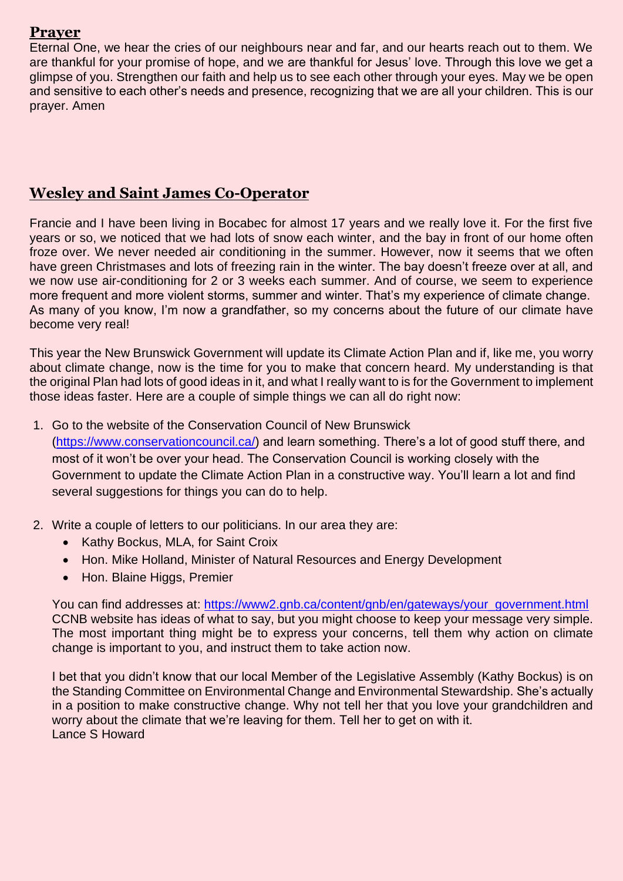#### **Prayer**

Eternal One, we hear the cries of our neighbours near and far, and our hearts reach out to them. We are thankful for your promise of hope, and we are thankful for Jesus' love. Through this love we get a glimpse of you. Strengthen our faith and help us to see each other through your eyes. May we be open and sensitive to each other's needs and presence, recognizing that we are all your children. This is our prayer. Amen

#### **Wesley and Saint James Co-Operator**

Francie and I have been living in Bocabec for almost 17 years and we really love it. For the first five years or so, we noticed that we had lots of snow each winter, and the bay in front of our home often froze over. We never needed air conditioning in the summer. However, now it seems that we often have green Christmases and lots of freezing rain in the winter. The bay doesn't freeze over at all, and we now use air-conditioning for 2 or 3 weeks each summer. And of course, we seem to experience more frequent and more violent storms, summer and winter. That's my experience of climate change. As many of you know, I'm now a grandfather, so my concerns about the future of our climate have become very real!

This year the New Brunswick Government will update its Climate Action Plan and if, like me, you worry about climate change, now is the time for you to make that concern heard. My understanding is that the original Plan had lots of good ideas in it, and what I really want to is for the Government to implement those ideas faster. Here are a couple of simple things we can all do right now:

- 1. Go to the website of the Conservation Council of New Brunswick [\(https://www.conservationcouncil.ca/\)](https://www.conservationcouncil.ca/) and learn something. There's a lot of good stuff there, and most of it won't be over your head. The Conservation Council is working closely with the Government to update the Climate Action Plan in a constructive way. You'll learn a lot and find several suggestions for things you can do to help.
- 2. Write a couple of letters to our politicians. In our area they are:
	- Kathy Bockus, MLA, for Saint Croix
	- Hon. Mike Holland, Minister of Natural Resources and Energy Development
	- Hon. Blaine Higgs, Premier

You can find addresses at: [https://www2.gnb.ca/content/gnb/en/gateways/your\\_government.html](https://www2.gnb.ca/content/gnb/en/gateways/your_government.html) CCNB website has ideas of what to say, but you might choose to keep your message very simple. The most important thing might be to express your concerns, tell them why action on climate change is important to you, and instruct them to take action now.

I bet that you didn't know that our local Member of the Legislative Assembly (Kathy Bockus) is on the Standing Committee on Environmental Change and Environmental Stewardship. She's actually in a position to make constructive change. Why not tell her that you love your grandchildren and worry about the climate that we're leaving for them. Tell her to get on with it. Lance S Howard